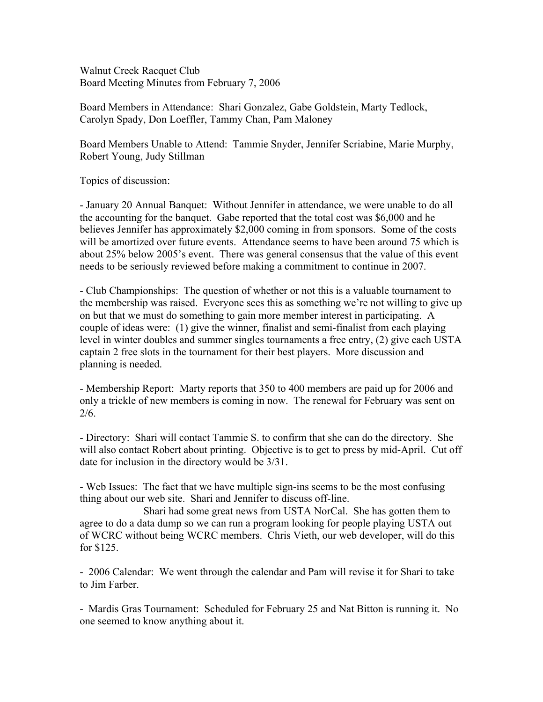Walnut Creek Racquet Club Board Meeting Minutes from February 7, 2006

Board Members in Attendance: Shari Gonzalez, Gabe Goldstein, Marty Tedlock, Carolyn Spady, Don Loeffler, Tammy Chan, Pam Maloney

Board Members Unable to Attend: Tammie Snyder, Jennifer Scriabine, Marie Murphy, Robert Young, Judy Stillman

Topics of discussion:

- January 20 Annual Banquet: Without Jennifer in attendance, we were unable to do all the accounting for the banquet. Gabe reported that the total cost was \$6,000 and he believes Jennifer has approximately \$2,000 coming in from sponsors. Some of the costs will be amortized over future events. Attendance seems to have been around 75 which is about 25% below 2005's event. There was general consensus that the value of this event needs to be seriously reviewed before making a commitment to continue in 2007.

- Club Championships: The question of whether or not this is a valuable tournament to the membership was raised. Everyone sees this as something we're not willing to give up on but that we must do something to gain more member interest in participating. A couple of ideas were: (1) give the winner, finalist and semi-finalist from each playing level in winter doubles and summer singles tournaments a free entry, (2) give each USTA captain 2 free slots in the tournament for their best players. More discussion and planning is needed.

- Membership Report: Marty reports that 350 to 400 members are paid up for 2006 and only a trickle of new members is coming in now. The renewal for February was sent on 2/6.

- Directory: Shari will contact Tammie S. to confirm that she can do the directory. She will also contact Robert about printing. Objective is to get to press by mid-April. Cut off date for inclusion in the directory would be 3/31.

- Web Issues: The fact that we have multiple sign-ins seems to be the most confusing thing about our web site. Shari and Jennifer to discuss off-line.

Shari had some great news from USTA NorCal. She has gotten them to agree to do a data dump so we can run a program looking for people playing USTA out of WCRC without being WCRC members. Chris Vieth, our web developer, will do this for \$125.

- 2006 Calendar: We went through the calendar and Pam will revise it for Shari to take to Jim Farber.

- Mardis Gras Tournament: Scheduled for February 25 and Nat Bitton is running it. No one seemed to know anything about it.